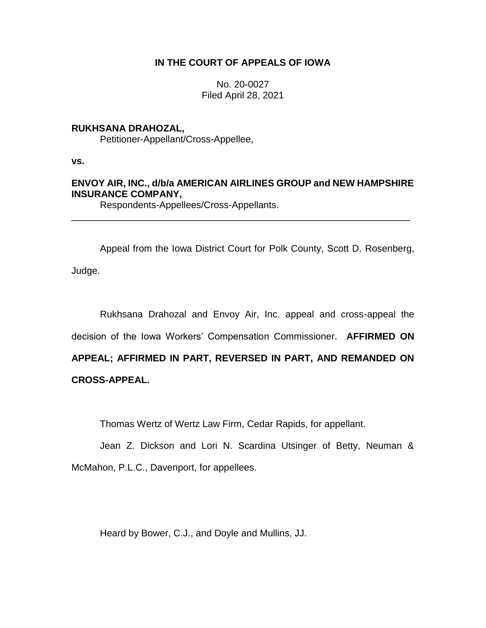# **IN THE COURT OF APPEALS OF IOWA**

No. 20-0027 Filed April 28, 2021

# **RUKHSANA DRAHOZAL,**

Petitioner-Appellant/Cross-Appellee,

**vs.**

# **ENVOY AIR, INC., d/b/a AMERICAN AIRLINES GROUP and NEW HAMPSHIRE INSURANCE COMPANY,**

\_\_\_\_\_\_\_\_\_\_\_\_\_\_\_\_\_\_\_\_\_\_\_\_\_\_\_\_\_\_\_\_\_\_\_\_\_\_\_\_\_\_\_\_\_\_\_\_\_\_\_\_\_\_\_\_\_\_\_\_\_\_\_\_

Respondents-Appellees/Cross-Appellants.

Appeal from the Iowa District Court for Polk County, Scott D. Rosenberg, Judge.

Rukhsana Drahozal and Envoy Air, Inc. appeal and cross-appeal the decision of the Iowa Workers' Compensation Commissioner. **AFFIRMED ON APPEAL; AFFIRMED IN PART, REVERSED IN PART, AND REMANDED ON CROSS-APPEAL.**

Thomas Wertz of Wertz Law Firm, Cedar Rapids, for appellant.

Jean Z. Dickson and Lori N. Scardina Utsinger of Betty, Neuman & McMahon, P.L.C., Davenport, for appellees.

Heard by Bower, C.J., and Doyle and Mullins, JJ.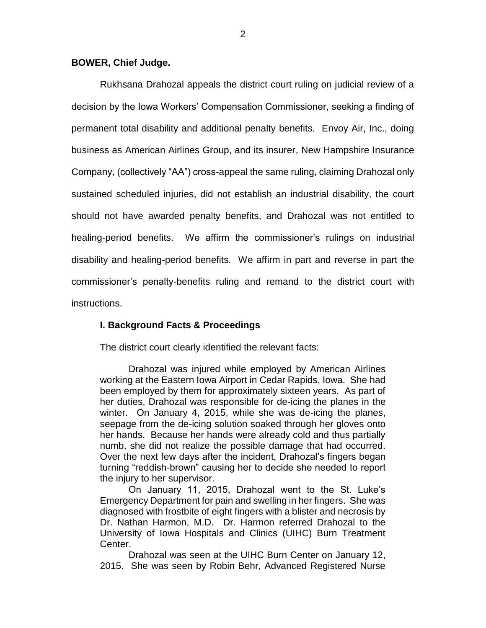## **BOWER, Chief Judge.**

Rukhsana Drahozal appeals the district court ruling on judicial review of a decision by the Iowa Workers' Compensation Commissioner, seeking a finding of permanent total disability and additional penalty benefits. Envoy Air, Inc., doing business as American Airlines Group, and its insurer, New Hampshire Insurance Company, (collectively "AA") cross-appeal the same ruling, claiming Drahozal only sustained scheduled injuries, did not establish an industrial disability, the court should not have awarded penalty benefits, and Drahozal was not entitled to healing-period benefits. We affirm the commissioner's rulings on industrial disability and healing-period benefits. We affirm in part and reverse in part the commissioner's penalty-benefits ruling and remand to the district court with instructions.

## **I. Background Facts & Proceedings**

The district court clearly identified the relevant facts:

Drahozal was injured while employed by American Airlines working at the Eastern Iowa Airport in Cedar Rapids, Iowa. She had been employed by them for approximately sixteen years. As part of her duties, Drahozal was responsible for de-icing the planes in the winter. On January 4, 2015, while she was de-icing the planes, seepage from the de-icing solution soaked through her gloves onto her hands. Because her hands were already cold and thus partially numb, she did not realize the possible damage that had occurred. Over the next few days after the incident, Drahozal's fingers began turning "reddish-brown" causing her to decide she needed to report the injury to her supervisor.

On January 11, 2015, Drahozal went to the St. Luke's Emergency Department for pain and swelling in her fingers. She was diagnosed with frostbite of eight fingers with a blister and necrosis by Dr. Nathan Harmon, M.D. Dr. Harmon referred Drahozal to the University of Iowa Hospitals and Clinics (UIHC) Burn Treatment Center.

Drahozal was seen at the UIHC Burn Center on January 12, 2015. She was seen by Robin Behr, Advanced Registered Nurse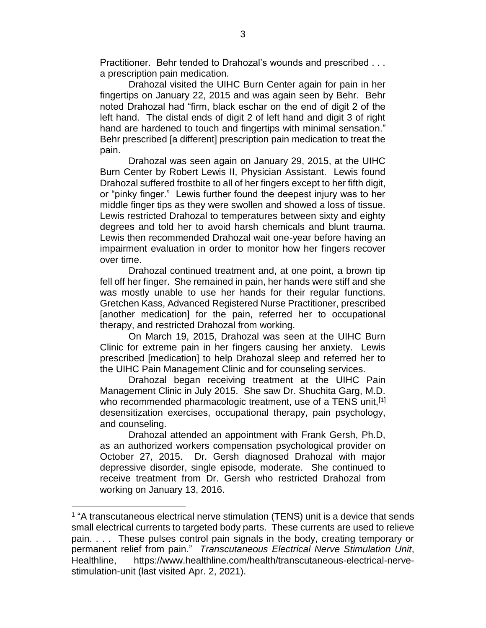Practitioner. Behr tended to Drahozal's wounds and prescribed . . . a prescription pain medication.

Drahozal visited the UIHC Burn Center again for pain in her fingertips on January 22, 2015 and was again seen by Behr. Behr noted Drahozal had "firm, black eschar on the end of digit 2 of the left hand. The distal ends of digit 2 of left hand and digit 3 of right hand are hardened to touch and fingertips with minimal sensation." Behr prescribed [a different] prescription pain medication to treat the pain.

Drahozal was seen again on January 29, 2015, at the UIHC Burn Center by Robert Lewis II, Physician Assistant. Lewis found Drahozal suffered frostbite to all of her fingers except to her fifth digit, or "pinky finger." Lewis further found the deepest injury was to her middle finger tips as they were swollen and showed a loss of tissue. Lewis restricted Drahozal to temperatures between sixty and eighty degrees and told her to avoid harsh chemicals and blunt trauma. Lewis then recommended Drahozal wait one-year before having an impairment evaluation in order to monitor how her fingers recover over time.

Drahozal continued treatment and, at one point, a brown tip fell off her finger. She remained in pain, her hands were stiff and she was mostly unable to use her hands for their regular functions. Gretchen Kass, Advanced Registered Nurse Practitioner, prescribed [another medication] for the pain, referred her to occupational therapy, and restricted Drahozal from working.

On March 19, 2015, Drahozal was seen at the UIHC Burn Clinic for extreme pain in her fingers causing her anxiety. Lewis prescribed [medication] to help Drahozal sleep and referred her to the UIHC Pain Management Clinic and for counseling services.

Drahozal began receiving treatment at the UIHC Pain Management Clinic in July 2015. She saw Dr. Shuchita Garg, M.D. who recommended pharmacologic treatment, use of a TENS unit, [1] desensitization exercises, occupational therapy, pain psychology, and counseling.

Drahozal attended an appointment with Frank Gersh, Ph.D, as an authorized workers compensation psychological provider on October 27, 2015. Dr. Gersh diagnosed Drahozal with major depressive disorder, single episode, moderate. She continued to receive treatment from Dr. Gersh who restricted Drahozal from working on January 13, 2016.

 $\overline{a}$ 

<sup>&</sup>lt;sup>1</sup> "A transcutaneous electrical nerve stimulation (TENS) unit is a device that sends small electrical currents to targeted body parts. These currents are used to relieve pain. . . . These pulses control pain signals in the body, creating temporary or permanent relief from pain." *Transcutaneous Electrical Nerve Stimulation Unit*, Healthline, https://www.healthline.com/health/transcutaneous-electrical-nervestimulation-unit (last visited Apr. 2, 2021).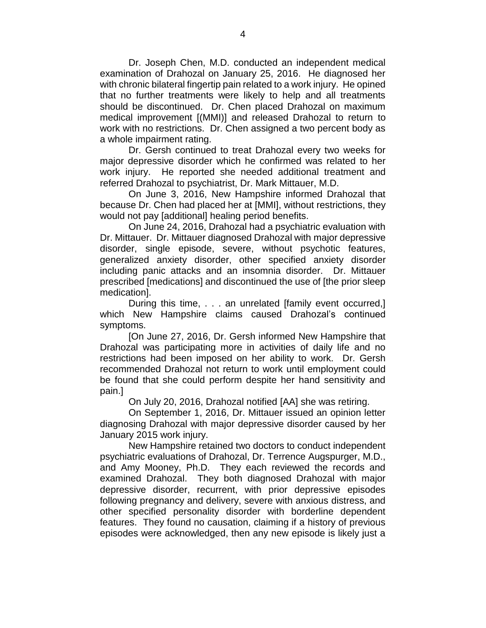Dr. Joseph Chen, M.D. conducted an independent medical examination of Drahozal on January 25, 2016. He diagnosed her with chronic bilateral fingertip pain related to a work injury. He opined that no further treatments were likely to help and all treatments should be discontinued. Dr. Chen placed Drahozal on maximum medical improvement [(MMI)] and released Drahozal to return to work with no restrictions. Dr. Chen assigned a two percent body as a whole impairment rating.

Dr. Gersh continued to treat Drahozal every two weeks for major depressive disorder which he confirmed was related to her work injury. He reported she needed additional treatment and referred Drahozal to psychiatrist, Dr. Mark Mittauer, M.D.

On June 3, 2016, New Hampshire informed Drahozal that because Dr. Chen had placed her at [MMI], without restrictions, they would not pay [additional] healing period benefits.

On June 24, 2016, Drahozal had a psychiatric evaluation with Dr. Mittauer. Dr. Mittauer diagnosed Drahozal with major depressive disorder, single episode, severe, without psychotic features, generalized anxiety disorder, other specified anxiety disorder including panic attacks and an insomnia disorder. Dr. Mittauer prescribed [medications] and discontinued the use of [the prior sleep medication].

During this time, . . . an unrelated [family event occurred,] which New Hampshire claims caused Drahozal's continued symptoms.

[On June 27, 2016, Dr. Gersh informed New Hampshire that Drahozal was participating more in activities of daily life and no restrictions had been imposed on her ability to work. Dr. Gersh recommended Drahozal not return to work until employment could be found that she could perform despite her hand sensitivity and pain.]

On July 20, 2016, Drahozal notified [AA] she was retiring.

On September 1, 2016, Dr. Mittauer issued an opinion letter diagnosing Drahozal with major depressive disorder caused by her January 2015 work injury.

New Hampshire retained two doctors to conduct independent psychiatric evaluations of Drahozal, Dr. Terrence Augspurger, M.D., and Amy Mooney, Ph.D. They each reviewed the records and examined Drahozal. They both diagnosed Drahozal with major depressive disorder, recurrent, with prior depressive episodes following pregnancy and delivery, severe with anxious distress, and other specified personality disorder with borderline dependent features. They found no causation, claiming if a history of previous episodes were acknowledged, then any new episode is likely just a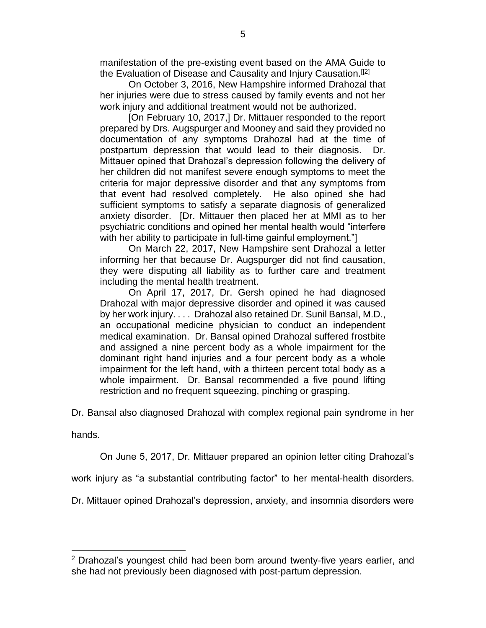manifestation of the pre-existing event based on the AMA Guide to the Evaluation of Disease and Causality and Injury Causation.<sup>[[2]</sup>

On October 3, 2016, New Hampshire informed Drahozal that her injuries were due to stress caused by family events and not her work injury and additional treatment would not be authorized.

[On February 10, 2017,] Dr. Mittauer responded to the report prepared by Drs. Augspurger and Mooney and said they provided no documentation of any symptoms Drahozal had at the time of postpartum depression that would lead to their diagnosis. Dr. Mittauer opined that Drahozal's depression following the delivery of her children did not manifest severe enough symptoms to meet the criteria for major depressive disorder and that any symptoms from that event had resolved completely. He also opined she had sufficient symptoms to satisfy a separate diagnosis of generalized anxiety disorder. [Dr. Mittauer then placed her at MMI as to her psychiatric conditions and opined her mental health would "interfere with her ability to participate in full-time gainful employment."

On March 22, 2017, New Hampshire sent Drahozal a letter informing her that because Dr. Augspurger did not find causation, they were disputing all liability as to further care and treatment including the mental health treatment.

On April 17, 2017, Dr. Gersh opined he had diagnosed Drahozal with major depressive disorder and opined it was caused by her work injury. . . . Drahozal also retained Dr. Sunil Bansal, M.D., an occupational medicine physician to conduct an independent medical examination. Dr. Bansal opined Drahozal suffered frostbite and assigned a nine percent body as a whole impairment for the dominant right hand injuries and a four percent body as a whole impairment for the left hand, with a thirteen percent total body as a whole impairment. Dr. Bansal recommended a five pound lifting restriction and no frequent squeezing, pinching or grasping.

Dr. Bansal also diagnosed Drahozal with complex regional pain syndrome in her

hands.

 $\overline{a}$ 

On June 5, 2017, Dr. Mittauer prepared an opinion letter citing Drahozal's

work injury as "a substantial contributing factor" to her mental-health disorders.

Dr. Mittauer opined Drahozal's depression, anxiety, and insomnia disorders were

 $2$  Drahozal's youngest child had been born around twenty-five years earlier, and she had not previously been diagnosed with post-partum depression.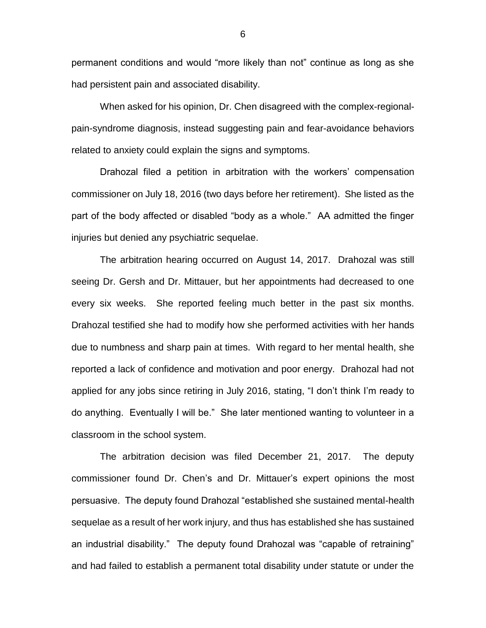permanent conditions and would "more likely than not" continue as long as she had persistent pain and associated disability.

When asked for his opinion, Dr. Chen disagreed with the complex-regionalpain-syndrome diagnosis, instead suggesting pain and fear-avoidance behaviors related to anxiety could explain the signs and symptoms.

Drahozal filed a petition in arbitration with the workers' compensation commissioner on July 18, 2016 (two days before her retirement). She listed as the part of the body affected or disabled "body as a whole." AA admitted the finger injuries but denied any psychiatric sequelae.

The arbitration hearing occurred on August 14, 2017. Drahozal was still seeing Dr. Gersh and Dr. Mittauer, but her appointments had decreased to one every six weeks. She reported feeling much better in the past six months. Drahozal testified she had to modify how she performed activities with her hands due to numbness and sharp pain at times. With regard to her mental health, she reported a lack of confidence and motivation and poor energy. Drahozal had not applied for any jobs since retiring in July 2016, stating, "I don't think I'm ready to do anything. Eventually I will be." She later mentioned wanting to volunteer in a classroom in the school system.

The arbitration decision was filed December 21, 2017. The deputy commissioner found Dr. Chen's and Dr. Mittauer's expert opinions the most persuasive. The deputy found Drahozal "established she sustained mental-health sequelae as a result of her work injury, and thus has established she has sustained an industrial disability." The deputy found Drahozal was "capable of retraining" and had failed to establish a permanent total disability under statute or under the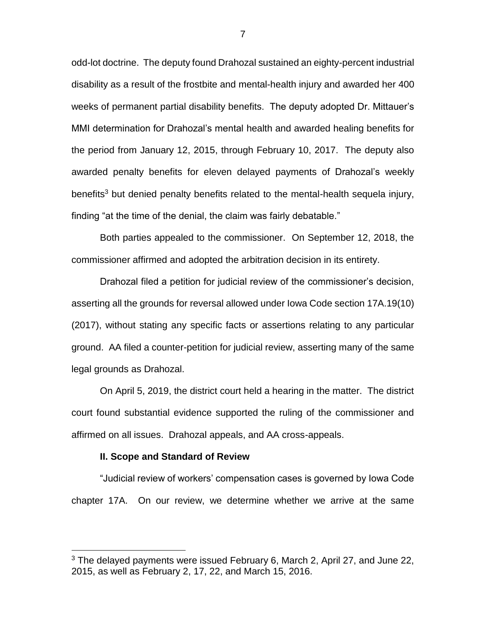odd-lot doctrine. The deputy found Drahozal sustained an eighty-percent industrial disability as a result of the frostbite and mental-health injury and awarded her 400 weeks of permanent partial disability benefits. The deputy adopted Dr. Mittauer's MMI determination for Drahozal's mental health and awarded healing benefits for the period from January 12, 2015, through February 10, 2017. The deputy also awarded penalty benefits for eleven delayed payments of Drahozal's weekly benefits<sup>3</sup> but denied penalty benefits related to the mental-health sequela injury, finding "at the time of the denial, the claim was fairly debatable."

Both parties appealed to the commissioner. On September 12, 2018, the commissioner affirmed and adopted the arbitration decision in its entirety.

Drahozal filed a petition for judicial review of the commissioner's decision, asserting all the grounds for reversal allowed under Iowa Code section 17A.19(10) (2017), without stating any specific facts or assertions relating to any particular ground. AA filed a counter-petition for judicial review, asserting many of the same legal grounds as Drahozal.

On April 5, 2019, the district court held a hearing in the matter. The district court found substantial evidence supported the ruling of the commissioner and affirmed on all issues. Drahozal appeals, and AA cross-appeals.

#### **II. Scope and Standard of Review**

 $\overline{a}$ 

"Judicial review of workers' compensation cases is governed by Iowa Code chapter 17A. On our review, we determine whether we arrive at the same

<sup>&</sup>lt;sup>3</sup> The delayed payments were issued February 6, March 2, April 27, and June 22, 2015, as well as February 2, 17, 22, and March 15, 2016.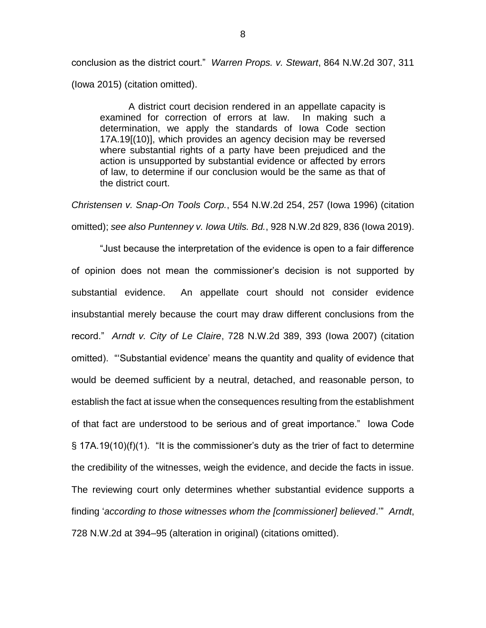conclusion as the district court." *Warren Props. v. Stewart*, 864 N.W.2d 307, 311 (Iowa 2015) (citation omitted).

A district court decision rendered in an appellate capacity is examined for correction of errors at law. In making such a determination, we apply the standards of Iowa Code section 17A.19[(10)], which provides an agency decision may be reversed where substantial rights of a party have been prejudiced and the action is unsupported by substantial evidence or affected by errors of law, to determine if our conclusion would be the same as that of the district court.

*Christensen v. Snap-On Tools Corp.*, 554 N.W.2d 254, 257 (Iowa 1996) (citation omitted); *see also Puntenney v. Iowa Utils. Bd.*, 928 N.W.2d 829, 836 (Iowa 2019).

"Just because the interpretation of the evidence is open to a fair difference of opinion does not mean the commissioner's decision is not supported by substantial evidence. An appellate court should not consider evidence insubstantial merely because the court may draw different conclusions from the record." *Arndt v. City of Le Claire*, 728 N.W.2d 389, 393 (Iowa 2007) (citation omitted). "'Substantial evidence' means the quantity and quality of evidence that would be deemed sufficient by a neutral, detached, and reasonable person, to establish the fact at issue when the consequences resulting from the establishment of that fact are understood to be serious and of great importance." Iowa Code  $\S$  17A.19(10)(f)(1). "It is the commissioner's duty as the trier of fact to determine the credibility of the witnesses, weigh the evidence, and decide the facts in issue. The reviewing court only determines whether substantial evidence supports a finding '*according to those witnesses whom the [commissioner] believed*.'" *Arndt*, 728 N.W.2d at 394–95 (alteration in original) (citations omitted).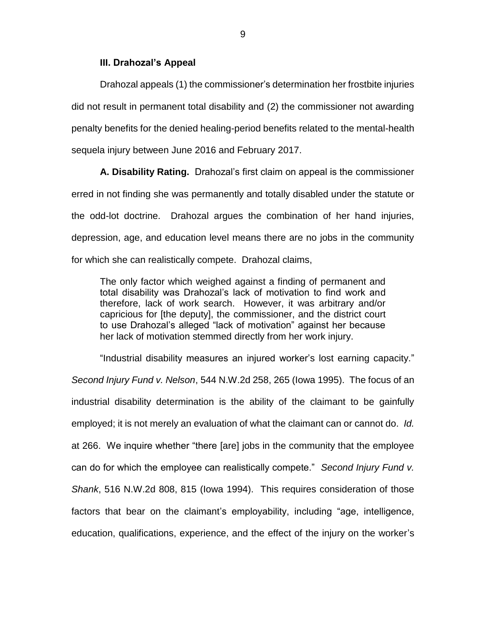### **III. Drahozal's Appeal**

Drahozal appeals (1) the commissioner's determination her frostbite injuries did not result in permanent total disability and (2) the commissioner not awarding penalty benefits for the denied healing-period benefits related to the mental-health sequela injury between June 2016 and February 2017.

**A. Disability Rating.** Drahozal's first claim on appeal is the commissioner erred in not finding she was permanently and totally disabled under the statute or the odd-lot doctrine. Drahozal argues the combination of her hand injuries, depression, age, and education level means there are no jobs in the community for which she can realistically compete. Drahozal claims,

The only factor which weighed against a finding of permanent and total disability was Drahozal's lack of motivation to find work and therefore, lack of work search. However, it was arbitrary and/or capricious for [the deputy], the commissioner, and the district court to use Drahozal's alleged "lack of motivation" against her because her lack of motivation stemmed directly from her work injury.

"Industrial disability measures an injured worker's lost earning capacity." *Second Injury Fund v. Nelson*, 544 N.W.2d 258, 265 (Iowa 1995). The focus of an industrial disability determination is the ability of the claimant to be gainfully employed; it is not merely an evaluation of what the claimant can or cannot do. *Id.* at 266. We inquire whether "there [are] jobs in the community that the employee can do for which the employee can realistically compete." *Second Injury Fund v. Shank*, 516 N.W.2d 808, 815 (Iowa 1994). This requires consideration of those factors that bear on the claimant's employability, including "age, intelligence, education, qualifications, experience, and the effect of the injury on the worker's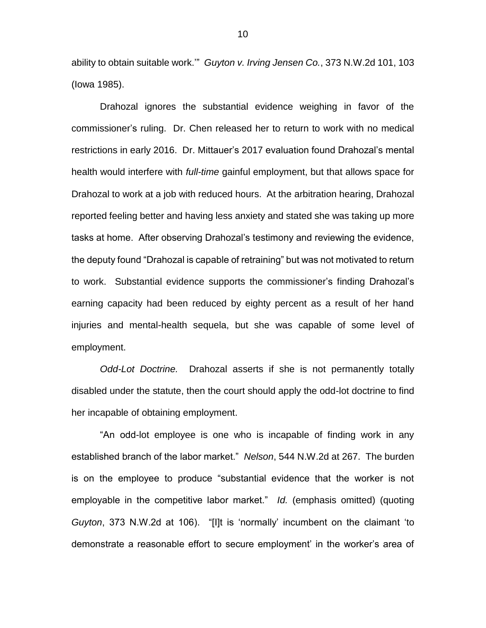ability to obtain suitable work.'" *Guyton v. Irving Jensen Co.*, 373 N.W.2d 101, 103 (Iowa 1985).

Drahozal ignores the substantial evidence weighing in favor of the commissioner's ruling. Dr. Chen released her to return to work with no medical restrictions in early 2016. Dr. Mittauer's 2017 evaluation found Drahozal's mental health would interfere with *full-time* gainful employment, but that allows space for Drahozal to work at a job with reduced hours. At the arbitration hearing, Drahozal reported feeling better and having less anxiety and stated she was taking up more tasks at home. After observing Drahozal's testimony and reviewing the evidence, the deputy found "Drahozal is capable of retraining" but was not motivated to return to work. Substantial evidence supports the commissioner's finding Drahozal's earning capacity had been reduced by eighty percent as a result of her hand injuries and mental-health sequela, but she was capable of some level of employment.

*Odd-Lot Doctrine.* Drahozal asserts if she is not permanently totally disabled under the statute, then the court should apply the odd-lot doctrine to find her incapable of obtaining employment.

"An odd-lot employee is one who is incapable of finding work in any established branch of the labor market." *Nelson*, 544 N.W.2d at 267. The burden is on the employee to produce "substantial evidence that the worker is not employable in the competitive labor market." *Id.* (emphasis omitted) (quoting *Guyton*, 373 N.W.2d at 106). "[I]t is 'normally' incumbent on the claimant 'to demonstrate a reasonable effort to secure employment' in the worker's area of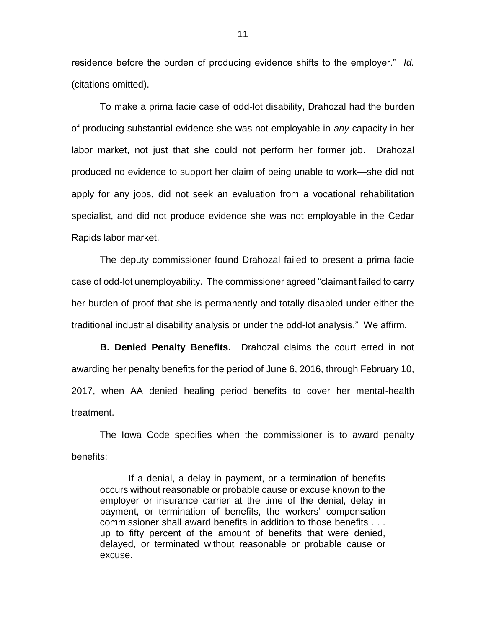residence before the burden of producing evidence shifts to the employer." *Id.*  (citations omitted).

To make a prima facie case of odd-lot disability, Drahozal had the burden of producing substantial evidence she was not employable in *any* capacity in her labor market, not just that she could not perform her former job. Drahozal produced no evidence to support her claim of being unable to work—she did not apply for any jobs, did not seek an evaluation from a vocational rehabilitation specialist, and did not produce evidence she was not employable in the Cedar Rapids labor market.

The deputy commissioner found Drahozal failed to present a prima facie case of odd-lot unemployability. The commissioner agreed "claimant failed to carry her burden of proof that she is permanently and totally disabled under either the traditional industrial disability analysis or under the odd-lot analysis." We affirm.

**B. Denied Penalty Benefits.** Drahozal claims the court erred in not awarding her penalty benefits for the period of June 6, 2016, through February 10, 2017, when AA denied healing period benefits to cover her mental-health treatment.

The Iowa Code specifies when the commissioner is to award penalty benefits:

If a denial, a delay in payment, or a termination of benefits occurs without reasonable or probable cause or excuse known to the employer or insurance carrier at the time of the denial, delay in payment, or termination of benefits, the workers' compensation commissioner shall award benefits in addition to those benefits . . . up to fifty percent of the amount of benefits that were denied, delayed, or terminated without reasonable or probable cause or excuse.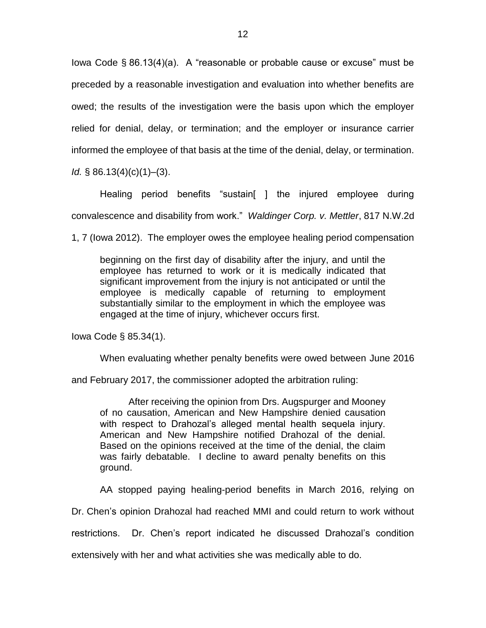Iowa Code § 86.13(4)(a). A "reasonable or probable cause or excuse" must be preceded by a reasonable investigation and evaluation into whether benefits are owed; the results of the investigation were the basis upon which the employer relied for denial, delay, or termination; and the employer or insurance carrier informed the employee of that basis at the time of the denial, delay, or termination.

*Id.* § 86.13(4)(c)(1)–(3).

Healing period benefits "sustain[ ] the injured employee during convalescence and disability from work." *Waldinger Corp. v. Mettler*, 817 N.W.2d

1, 7 (Iowa 2012). The employer owes the employee healing period compensation

beginning on the first day of disability after the injury, and until the employee has returned to work or it is medically indicated that significant improvement from the injury is not anticipated or until the employee is medically capable of returning to employment substantially similar to the employment in which the employee was engaged at the time of injury, whichever occurs first.

Iowa Code § 85.34(1).

When evaluating whether penalty benefits were owed between June 2016

and February 2017, the commissioner adopted the arbitration ruling:

After receiving the opinion from Drs. Augspurger and Mooney of no causation, American and New Hampshire denied causation with respect to Drahozal's alleged mental health sequela injury. American and New Hampshire notified Drahozal of the denial. Based on the opinions received at the time of the denial, the claim was fairly debatable. I decline to award penalty benefits on this ground.

AA stopped paying healing-period benefits in March 2016, relying on

Dr. Chen's opinion Drahozal had reached MMI and could return to work without

restrictions. Dr. Chen's report indicated he discussed Drahozal's condition

extensively with her and what activities she was medically able to do.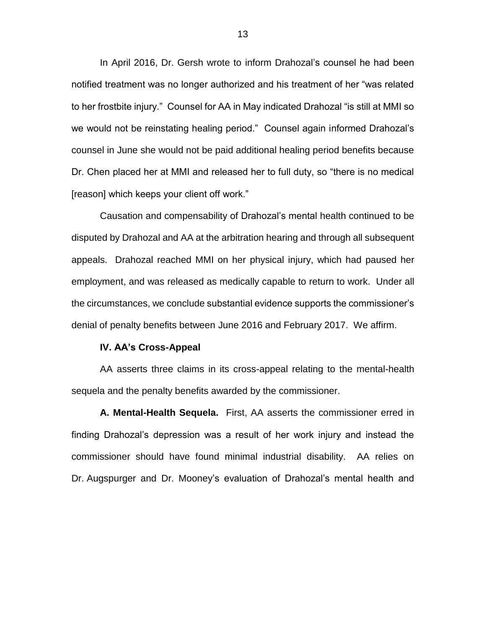In April 2016, Dr. Gersh wrote to inform Drahozal's counsel he had been notified treatment was no longer authorized and his treatment of her "was related to her frostbite injury." Counsel for AA in May indicated Drahozal "is still at MMI so we would not be reinstating healing period." Counsel again informed Drahozal's counsel in June she would not be paid additional healing period benefits because Dr. Chen placed her at MMI and released her to full duty, so "there is no medical [reason] which keeps your client off work."

Causation and compensability of Drahozal's mental health continued to be disputed by Drahozal and AA at the arbitration hearing and through all subsequent appeals. Drahozal reached MMI on her physical injury, which had paused her employment, and was released as medically capable to return to work. Under all the circumstances, we conclude substantial evidence supports the commissioner's denial of penalty benefits between June 2016 and February 2017. We affirm.

#### **IV. AA's Cross-Appeal**

AA asserts three claims in its cross-appeal relating to the mental-health sequela and the penalty benefits awarded by the commissioner.

**A. Mental-Health Sequela.** First, AA asserts the commissioner erred in finding Drahozal's depression was a result of her work injury and instead the commissioner should have found minimal industrial disability. AA relies on Dr. Augspurger and Dr. Mooney's evaluation of Drahozal's mental health and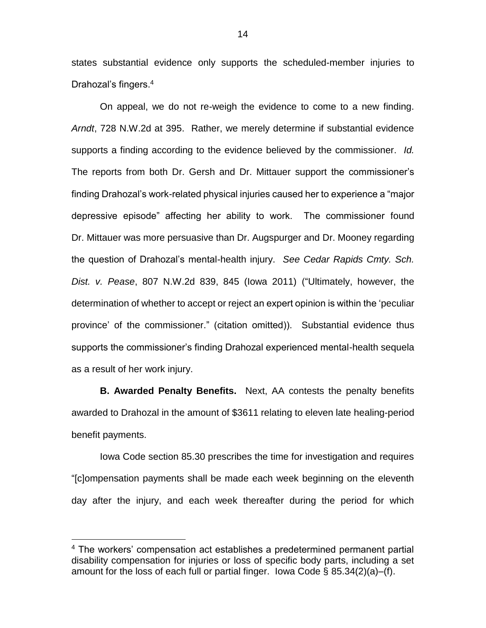states substantial evidence only supports the scheduled-member injuries to Drahozal's fingers. 4

On appeal, we do not re-weigh the evidence to come to a new finding. *Arndt*, 728 N.W.2d at 395. Rather, we merely determine if substantial evidence supports a finding according to the evidence believed by the commissioner. *Id.*  The reports from both Dr. Gersh and Dr. Mittauer support the commissioner's finding Drahozal's work-related physical injuries caused her to experience a "major depressive episode" affecting her ability to work. The commissioner found Dr. Mittauer was more persuasive than Dr. Augspurger and Dr. Mooney regarding the question of Drahozal's mental-health injury. *See Cedar Rapids Cmty. Sch. Dist. v. Pease*, 807 N.W.2d 839, 845 (Iowa 2011) ("Ultimately, however, the determination of whether to accept or reject an expert opinion is within the 'peculiar province' of the commissioner." (citation omitted)). Substantial evidence thus supports the commissioner's finding Drahozal experienced mental-health sequela as a result of her work injury.

**B. Awarded Penalty Benefits.** Next, AA contests the penalty benefits awarded to Drahozal in the amount of \$3611 relating to eleven late healing-period benefit payments.

Iowa Code section 85.30 prescribes the time for investigation and requires "[c]ompensation payments shall be made each week beginning on the eleventh day after the injury, and each week thereafter during the period for which

 $\overline{a}$ 

<sup>&</sup>lt;sup>4</sup> The workers' compensation act establishes a predetermined permanent partial disability compensation for injuries or loss of specific body parts, including a set amount for the loss of each full or partial finger. Iowa Code  $\S$  85.34(2)(a)–(f).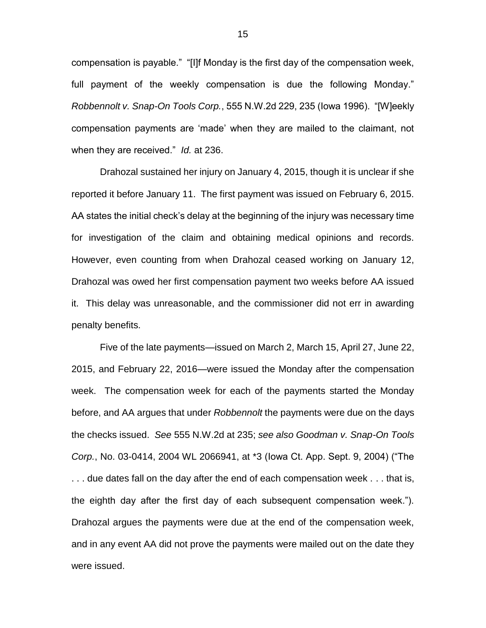compensation is payable." "[I]f Monday is the first day of the compensation week, full payment of the weekly compensation is due the following Monday." *Robbennolt v. Snap-On Tools Corp.*, 555 N.W.2d 229, 235 (Iowa 1996). "[W]eekly compensation payments are 'made' when they are mailed to the claimant, not when they are received." *Id.* at 236.

Drahozal sustained her injury on January 4, 2015, though it is unclear if she reported it before January 11. The first payment was issued on February 6, 2015. AA states the initial check's delay at the beginning of the injury was necessary time for investigation of the claim and obtaining medical opinions and records. However, even counting from when Drahozal ceased working on January 12, Drahozal was owed her first compensation payment two weeks before AA issued it. This delay was unreasonable, and the commissioner did not err in awarding penalty benefits.

Five of the late payments—issued on March 2, March 15, April 27, June 22, 2015, and February 22, 2016—were issued the Monday after the compensation week. The compensation week for each of the payments started the Monday before, and AA argues that under *Robbennolt* the payments were due on the days the checks issued. *See* 555 N.W.2d at 235; *see also Goodman v. Snap-On Tools Corp.*, No. 03-0414, 2004 WL 2066941, at \*3 (Iowa Ct. App. Sept. 9, 2004) ("The ... due dates fall on the day after the end of each compensation week ... that is, the eighth day after the first day of each subsequent compensation week."). Drahozal argues the payments were due at the end of the compensation week, and in any event AA did not prove the payments were mailed out on the date they were issued.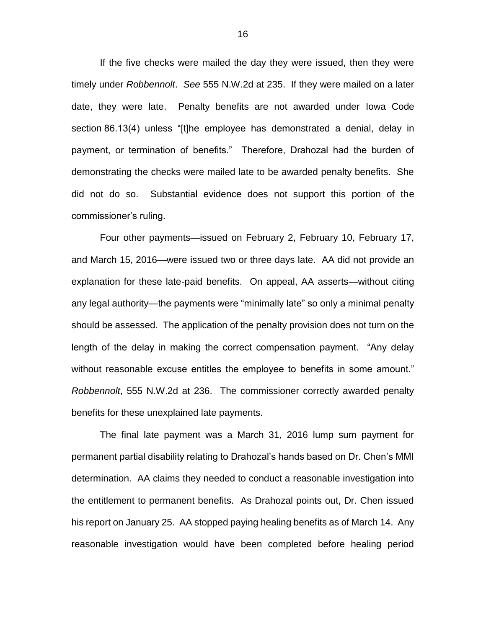If the five checks were mailed the day they were issued, then they were timely under *Robbennolt*. *See* 555 N.W.2d at 235. If they were mailed on a later date, they were late. Penalty benefits are not awarded under Iowa Code section 86.13(4) unless "[t]he employee has demonstrated a denial, delay in payment, or termination of benefits." Therefore, Drahozal had the burden of demonstrating the checks were mailed late to be awarded penalty benefits. She did not do so. Substantial evidence does not support this portion of the commissioner's ruling.

Four other payments—issued on February 2, February 10, February 17, and March 15, 2016—were issued two or three days late. AA did not provide an explanation for these late-paid benefits. On appeal, AA asserts—without citing any legal authority—the payments were "minimally late" so only a minimal penalty should be assessed. The application of the penalty provision does not turn on the length of the delay in making the correct compensation payment. "Any delay without reasonable excuse entitles the employee to benefits in some amount." *Robbennolt*, 555 N.W.2d at 236. The commissioner correctly awarded penalty benefits for these unexplained late payments.

The final late payment was a March 31, 2016 lump sum payment for permanent partial disability relating to Drahozal's hands based on Dr. Chen's MMI determination. AA claims they needed to conduct a reasonable investigation into the entitlement to permanent benefits. As Drahozal points out, Dr. Chen issued his report on January 25. AA stopped paying healing benefits as of March 14. Any reasonable investigation would have been completed before healing period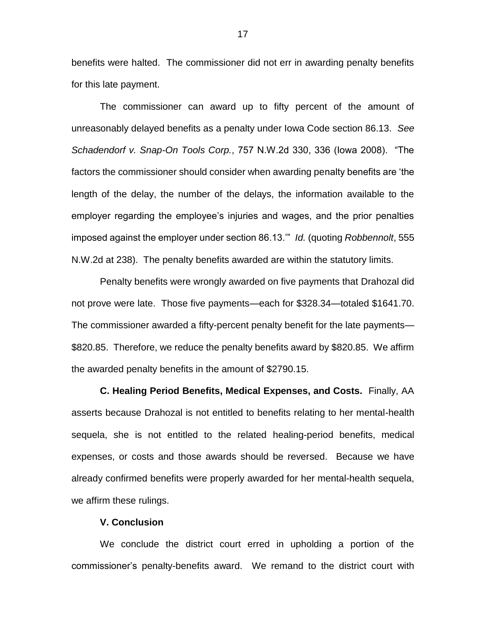benefits were halted. The commissioner did not err in awarding penalty benefits for this late payment.

The commissioner can award up to fifty percent of the amount of unreasonably delayed benefits as a penalty under Iowa Code section 86.13. *See Schadendorf v. Snap-On Tools Corp.*, 757 N.W.2d 330, 336 (Iowa 2008). "The factors the commissioner should consider when awarding penalty benefits are 'the length of the delay, the number of the delays, the information available to the employer regarding the employee's injuries and wages, and the prior penalties imposed against the employer under section 86.13.'" *Id.* (quoting *Robbennolt*, 555 N.W.2d at 238). The penalty benefits awarded are within the statutory limits.

Penalty benefits were wrongly awarded on five payments that Drahozal did not prove were late. Those five payments—each for \$328.34—totaled \$1641.70. The commissioner awarded a fifty-percent penalty benefit for the late payments— \$820.85. Therefore, we reduce the penalty benefits award by \$820.85. We affirm the awarded penalty benefits in the amount of \$2790.15.

**C. Healing Period Benefits, Medical Expenses, and Costs.** Finally, AA asserts because Drahozal is not entitled to benefits relating to her mental-health sequela, she is not entitled to the related healing-period benefits, medical expenses, or costs and those awards should be reversed. Because we have already confirmed benefits were properly awarded for her mental-health sequela, we affirm these rulings.

### **V. Conclusion**

We conclude the district court erred in upholding a portion of the commissioner's penalty-benefits award. We remand to the district court with